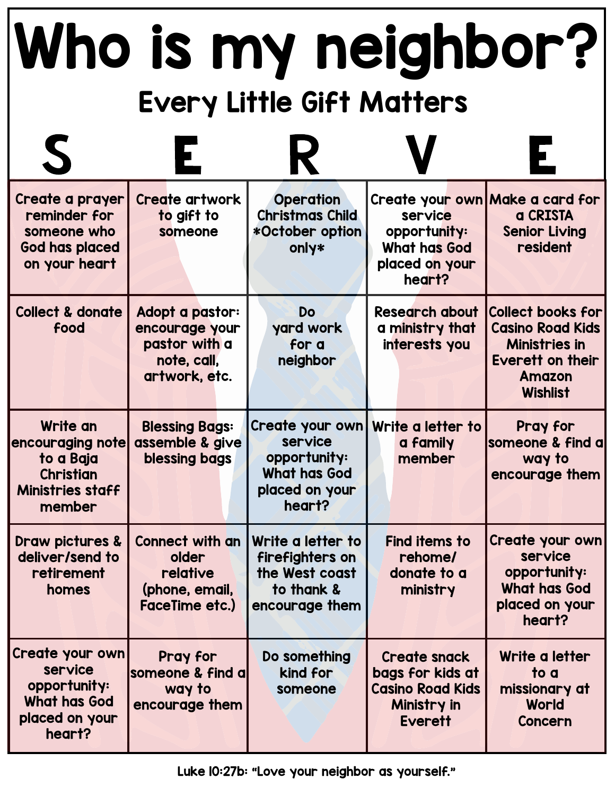## Who is my neighbor? Every Little Gift Matters

| Create a prayer<br>reminder for<br>someone who<br><b>God has placed</b><br>on your heart           | <b>Create artwork</b><br>to gift to<br>someone                                     | <b>Operation</b><br><b>Christmas Child</b><br>*October option<br>only*                        | service<br>opportunity:<br><b>What has God</b><br>placed on your<br>heart?                          | Create your own Make a card for<br>a CRISTA<br><b>Senior Living</b><br>resident                                                            |
|----------------------------------------------------------------------------------------------------|------------------------------------------------------------------------------------|-----------------------------------------------------------------------------------------------|-----------------------------------------------------------------------------------------------------|--------------------------------------------------------------------------------------------------------------------------------------------|
| <b>Collect &amp; donate</b><br>food                                                                | Adopt a pastor:<br>encourage your<br>pastor with a<br>note, call,<br>artwork, etc. | Do<br>yard work<br>for a<br>neighbor                                                          | <b>Research about</b><br>a ministry that<br>interests you                                           | <b>Collect books for</b><br><b>Casino Road Kids</b><br><b>Ministries in</b><br><b>Everett on their</b><br><b>Amazon</b><br><b>Wishlist</b> |
| Write an<br>encouraging note<br>to a Baja<br><b>Christian</b><br><b>Ministries staff</b><br>member | <b>Blessing Bags:</b><br>assemble & give<br>blessing bags                          | Create your own<br>service<br>opportunity:<br><b>What has God</b><br>placed on your<br>heart? | Write a letter to<br>a family<br>member                                                             | Pray for<br>someone & find a<br>way to<br>encourage them                                                                                   |
| Draw pictures &<br>deliver/send to<br>retirement<br>homes                                          | <b>Connect with an</b><br>older<br>relative<br>(phone, email,<br>FaceTime etc.)    | Write a letter to<br>firefighters on<br>the West coast<br>to thank &<br>encourage them        | <b>Find items to</b><br>rehome/<br>donate to a<br>ministry                                          | Create your own<br>service<br>opportunity:<br><b>What has God</b><br>placed on your<br>heart?                                              |
| Create your own<br>service<br>opportunity:<br><b>What has God</b><br>placed on your<br>heart?      | Pray for<br>someone & find a<br>way to<br>encourage them                           | Do something<br>kind for<br>someone                                                           | <b>Create snack</b><br>bags for kids at<br><b>Casino Road Kids</b><br>Ministry in<br><b>Everett</b> | Write a letter<br>to a<br>missionary at<br>World<br><b>Concern</b>                                                                         |

Luke 10:27b: "Love your neighbor as yourself."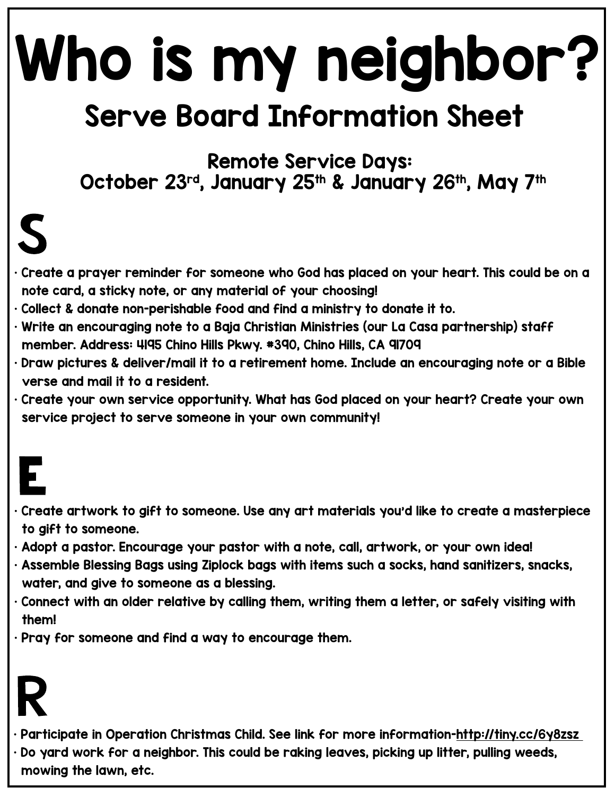# Who is my neighbor?

### Serve Board Information Sheet

Remote Service Days: October 23rd, January 25th & January 26th, May 7th

### $\boldsymbol{\zeta}$

- Create a prayer reminder for someone who God has placed on your heart. This could be on a note card, a sticky note, or any material of your choosing!
- Collect & donate non-perishable food and find a ministry to donate it to.
- Write an encouraging note to a Baja Christian Ministries (our La Casa partnership) staff member. Address: 4195 Chino Hills Pkwy. #390, Chino Hills, CA 91709
- Draw pictures & deliver/mail it to a retirement home. Include an encouraging note or a Bible verse and mail it to a resident.
- Create your own service opportunity. What has God placed on your heart? Create your own service project to serve someone in your own community!

- Create artwork to gift to someone. Use any art materials you'd like to create a masterpiece to gift to someone.
- Adopt a pastor. Encourage your pastor with a note, call, artwork, or your own idea!
- Assemble Blessing Bags using Ziplock bags with items such a socks, hand sanitizers, snacks, water, and give to someone as a blessing.
- $\cdot$  Connect with an older relative by calling them, writing them a letter, or safely visiting with them!
- Pray for someone and find a way to encourage them.

### K

- Participate in Operation Christmas Child. See link for more information-http://tiny.cc/6y8zsz
- Do yard work for a neighbor. This could be raking leaves, picking up litter, pulling weeds, mowing the lawn, etc.